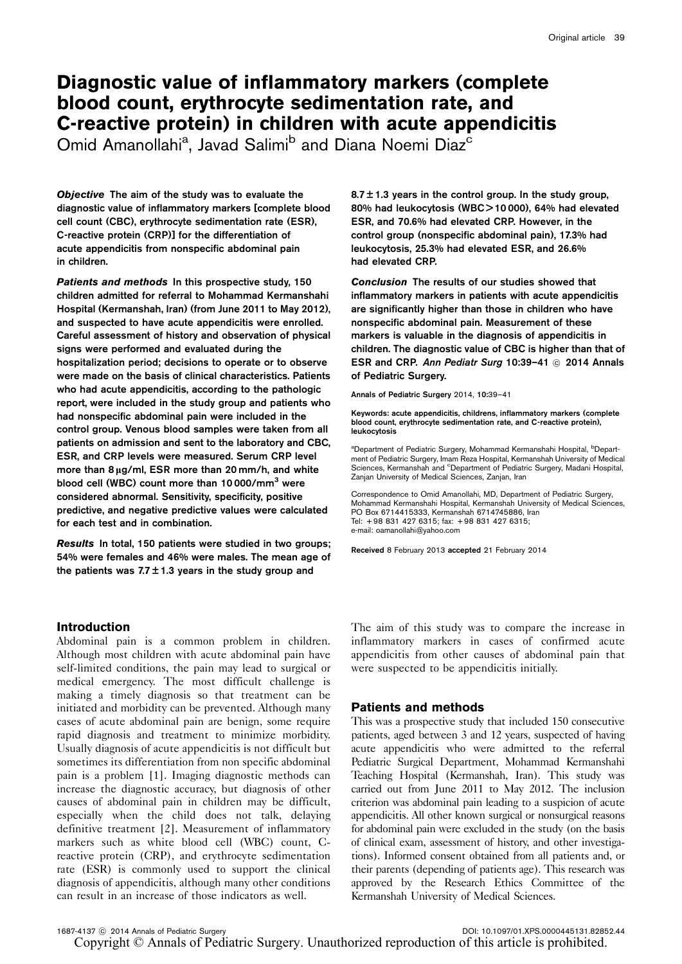# Diagnostic value of inflammatory markers (complete blood count, erythrocyte sedimentation rate, and C-reactive protein) in children with acute appendicitis

Omid Amanollahi<sup>a</sup>, Javad Salimi<sup>b</sup> and Diana Noemi Diaz<sup>c</sup>

Objective The aim of the study was to evaluate the diagnostic value of inflammatory markers [complete blood cell count (CBC), erythrocyte sedimentation rate (ESR), C-reactive protein (CRP)] for the differentiation of acute appendicitis from nonspecific abdominal pain in children.

Patients and methods In this prospective study, 150 children admitted for referral to Mohammad Kermanshahi Hospital (Kermanshah, Iran) (from June 2011 to May 2012), and suspected to have acute appendicitis were enrolled. Careful assessment of history and observation of physical signs were performed and evaluated during the hospitalization period; decisions to operate or to observe were made on the basis of clinical characteristics. Patients who had acute appendicitis, according to the pathologic report, were included in the study group and patients who had nonspecific abdominal pain were included in the control group. Venous blood samples were taken from all patients on admission and sent to the laboratory and CBC, ESR, and CRP levels were measured. Serum CRP level more than  $8 \mu g/ml$ , ESR more than  $20 \text{ mm/h}$ , and white blood cell (WBC) count more than 10 000/mm<sup>3</sup> were considered abnormal. Sensitivity, specificity, positive predictive, and negative predictive values were calculated for each test and in combination.

Results In total, 150 patients were studied in two groups; 54% were females and 46% were males. The mean age of the patients was  $7.7 \pm 1.3$  years in the study group and

## **Introduction**

Abdominal pain is a common problem in children. Although most children with acute abdominal pain have self-limited conditions, the pain may lead to surgical or medical emergency. The most difficult challenge is making a timely diagnosis so that treatment can be initiated and morbidity can be prevented. Although many cases of acute abdominal pain are benign, some require rapid diagnosis and treatment to minimize morbidity. Usually diagnosis of acute appendicitis is not difficult but sometimes its differentiation from non specific abdominal pain is a problem [\[1](#page-2-0)]. Imaging diagnostic methods can increase the diagnostic accuracy, but diagnosis of other causes of abdominal pain in children may be difficult, especially when the child does not talk, delaying definitive treatment [\[2\]](#page-2-0). Measurement of inflammatory markers such as white blood cell (WBC) count, Creactive protein (CRP), and erythrocyte sedimentation rate (ESR) is commonly used to support the clinical diagnosis of appendicitis, although many other conditions can result in an increase of those indicators as well.

 $8.7 \pm 1.3$  years in the control group. In the study group, 80% had leukocytosis (WBC > 10 000), 64% had elevated ESR, and 70.6% had elevated CRP. However, in the control group (nonspecific abdominal pain), 17.3% had leukocytosis, 25.3% had elevated ESR, and 26.6% had elevated CRP.

Conclusion The results of our studies showed that inflammatory markers in patients with acute appendicitis are significantly higher than those in children who have nonspecific abdominal pain. Measurement of these markers is valuable in the diagnosis of appendicitis in children. The diagnostic value of CBC is higher than that of ESR and CRP. Ann Pediatr Surg 10:39-41 @ 2014 Annals of Pediatric Surgery.

Annals of Pediatric Surgery 2014, 10:39–41

Keywords: acute appendicitis, childrens, inflammatory markers (complete blood count, erythrocyte sedimentation rate, and C-reactive protein), leukocytosis

<sup>a</sup>Department of Pediatric Surgery, Mohammad Kermanshahi Hospital, <sup>b</sup>Department of Pediatric Surgery, Imam Reza Hospital, Kermanshah University of Medical Sciences, Kermanshah and <sup>c</sup>Department of Pediatric Surgery, Madani Hospital, Zanjan University of Medical Sciences, Zanjan, Iran

Correspondence to Omid Amanollahi, MD, Department of Pediatric Surgery, Mohammad Kermanshahi Hospital, Kermanshah University of Medical Sciences, PO Box 6714415333, Kermanshah 6714745886, Iran Tel: + 98 831 427 6315; fax: + 98 831 427 6315; e-mail: [oamanollahi@yahoo.com](mailto:oamanollahi@yahoo.com)

Received 8 February 2013 accepted 21 February 2014

The aim of this study was to compare the increase in inflammatory markers in cases of confirmed acute appendicitis from other causes of abdominal pain that were suspected to be appendicitis initially.

## Patients and methods

This was a prospective study that included 150 consecutive patients, aged between 3 and 12 years, suspected of having acute appendicitis who were admitted to the referral Pediatric Surgical Department, Mohammad Kermanshahi Teaching Hospital (Kermanshah, Iran). This study was carried out from June 2011 to May 2012. The inclusion criterion was abdominal pain leading to a suspicion of acute appendicitis. All other known surgical or nonsurgical reasons for abdominal pain were excluded in the study (on the basis of clinical exam, assessment of history, and other investigations). Informed consent obtained from all patients and, or their parents (depending of patients age). This research was approved by the Research Ethics Committee of the Kermanshah University of Medical Sciences.

1687-4137 C 2014 Annals of Pediatric Surgery DOI: 10.1097/01.XPS.0000445131.82852.44 Copyright © Annals of Pediatric Surgery. Unauthorized reproduction of this article is prohibited.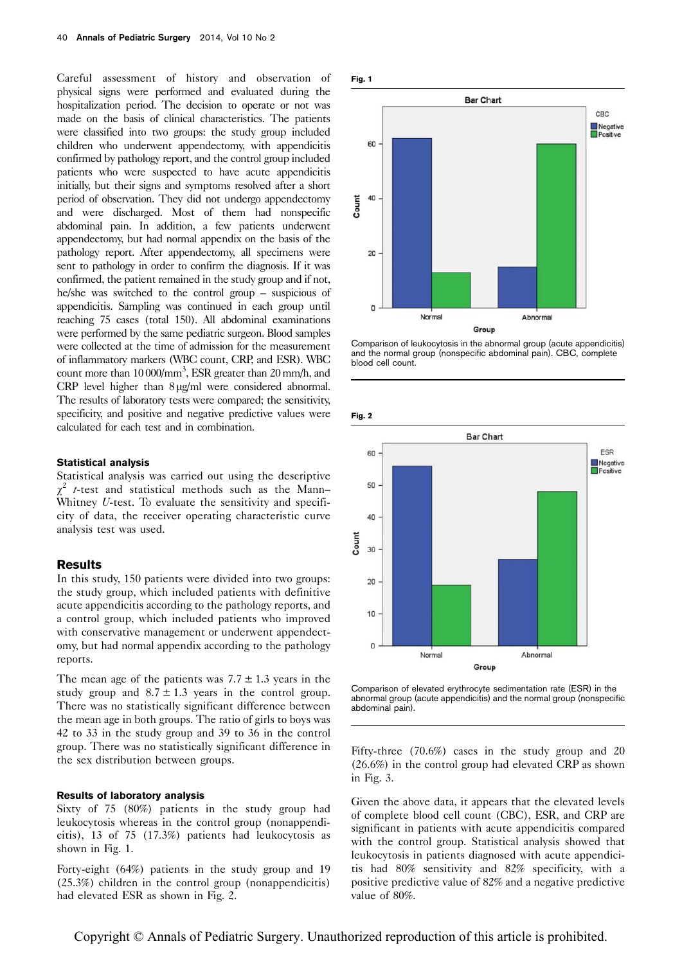Careful assessment of history and observation of physical signs were performed and evaluated during the hospitalization period. The decision to operate or not was made on the basis of clinical characteristics. The patients were classified into two groups: the study group included children who underwent appendectomy, with appendicitis confirmed by pathology report, and the control group included patients who were suspected to have acute appendicitis initially, but their signs and symptoms resolved after a short period of observation. They did not undergo appendectomy and were discharged. Most of them had nonspecific abdominal pain. In addition, a few patients underwent appendectomy, but had normal appendix on the basis of the pathology report. After appendectomy, all specimens were sent to pathology in order to confirm the diagnosis. If it was confirmed, the patient remained in the study group and if not, he/she was switched to the control group – suspicious of appendicitis. Sampling was continued in each group until reaching 75 cases (total 150). All abdominal examinations were performed by the same pediatric surgeon. Blood samples were collected at the time of admission for the measurement of inflammatory markers (WBC count, CRP, and ESR). WBC count more than 10 000/mm<sup>3</sup>, ESR greater than 20 mm/h, and  $CRP$  level higher than  $8 \mu g/ml$  were considered abnormal. The results of laboratory tests were compared; the sensitivity, specificity, and positive and negative predictive values were calculated for each test and in combination.

## Statistical analysis

Statistical analysis was carried out using the descriptive  $\chi^2$  *t*-test and statistical methods such as the Mann– Whitney U-test. To evaluate the sensitivity and specificity of data, the receiver operating characteristic curve analysis test was used.

#### Results

In this study, 150 patients were divided into two groups: the study group, which included patients with definitive acute appendicitis according to the pathology reports, and a control group, which included patients who improved with conservative management or underwent appendectomy, but had normal appendix according to the pathology reports.

The mean age of the patients was  $7.7 \pm 1.3$  years in the study group and  $8.7 \pm 1.3$  years in the control group. There was no statistically significant difference between the mean age in both groups. The ratio of girls to boys was 42 to 33 in the study group and 39 to 36 in the control group. There was no statistically significant difference in the sex distribution between groups.

#### Results of laboratory analysis

Sixty of 75 (80%) patients in the study group had leukocytosis whereas in the control group (nonappendicitis), 13 of 75 (17.3%) patients had leukocytosis as shown in Fig. 1.

Forty-eight (64%) patients in the study group and 19 (25.3%) children in the control group (nonappendicitis) had elevated ESR as shown in Fig. 2.



Comparison of leukocytosis in the abnormal group (acute appendicitis) and the normal group (nonspecific abdominal pain). CBC, complete blood cell count.

Fig. 2



Comparison of elevated erythrocyte sedimentation rate (ESR) in the abnormal group (acute appendicitis) and the normal group (nonspecific abdominal pain).

Fifty-three (70.6%) cases in the study group and 20 (26.6%) in the control group had elevated CRP as shown in [Fig. 3.](#page-2-0)

Given the above data, it appears that the elevated levels of complete blood cell count (CBC), ESR, and CRP are significant in patients with acute appendicitis compared with the control group. Statistical analysis showed that leukocytosis in patients diagnosed with acute appendicitis had 80% sensitivity and 82% specificity, with a positive predictive value of 82% and a negative predictive value of 80%.

Copyright © Annals of Pediatric Surgery. Unauthorized reproduction of this article is prohibited.